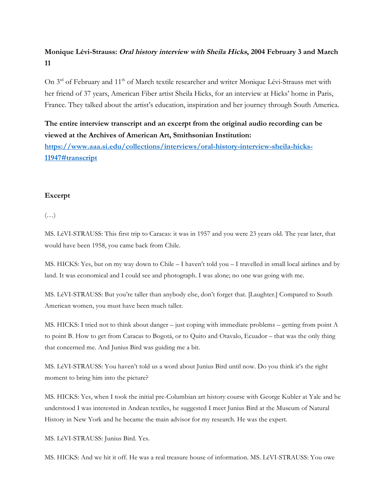# **Monique Lévi-Strauss: Oral history interview with Sheila Hicks, 2004 February 3 and March 11**

On 3<sup>rd</sup> of February and 11<sup>th</sup> of March textile researcher and writer Monique Lévi-Strauss met with her friend of 37 years, American Fiber artist Sheila Hicks, for an interview at Hicks' home in Paris, France. They talked about the artist's education, inspiration and her journey through South America.

## **The entire interview transcript and an excerpt from the original audio recording can be viewed at the Archives of American Art, Smithsonian Institution:**

**https://www.aaa.si.edu/collections/interviews/oral-history-interview-sheila-hicks-11947#transcript**

### **Excerpt**

 $(\ldots)$ 

MS. LéVI-STRAUSS: This first trip to Caracas: it was in 1957 and you were 23 years old. The year later, that would have been 1958, you came back from Chile.

MS. HICKS: Yes, but on my way down to Chile – I haven't told you – I travelled in small local airlines and by land. It was economical and I could see and photograph. I was alone; no one was going with me.

MS. LéVI-STRAUSS: But you're taller than anybody else, don't forget that. [Laughter.] Compared to South American women, you must have been much taller.

MS. HICKS: I tried not to think about danger – just coping with immediate problems – getting from point A to point B. How to get from Caracas to Bogotá, or to Quito and Otavalo, Ecuador – that was the only thing that concerned me. And Junius Bird was guiding me a bit.

MS. LéVI-STRAUSS: You haven't told us a word about Junius Bird until now. Do you think it's the right moment to bring him into the picture?

MS. HICKS: Yes, when I took the initial pre-Columbian art history course with George Kubler at Yale and he understood I was interested in Andean textiles, he suggested I meet Junius Bird at the Museum of Natural History in New York and he became the main advisor for my research. He was the expert.

MS. LéVI-STRAUSS: Junius Bird. Yes.

MS. HICKS: And we hit it off. He was a real treasure house of information. MS. LéVI-STRAUSS: You owe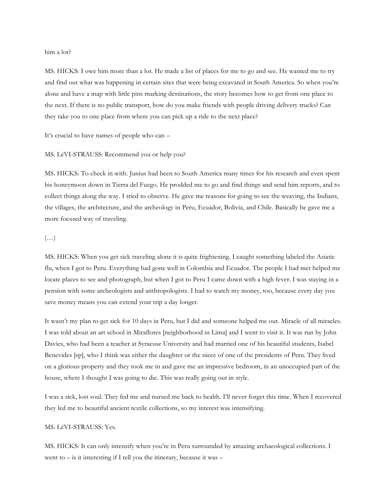him a lot?

MS. HICKS: I owe him more than a lot. He made a list of places for me to go and see. He wanted me to try and find out what was happening in certain sites that were being excavated in South America. So when you're alone and have a map with little pins marking destinations, the story becomes how to get from one place to the next. If there is no public transport, how do you make friends with people driving delivery trucks? Can they take you to one place from where you can pick up a ride to the next place?

It's crucial to have names of people who can –

#### MS. LéVI-STRAUSS: Recommend you or help you?

MS. HICKS: To check in with. Junius had been to South America many times for his research and even spent his honeymoon down in Tierra del Fuego. He prodded me to go and find things and send him reports, and to collect things along the way. I tried to observe. He gave me reasons for going to see the weaving, the Indians, the villages, the architecture, and the archeology in Peru, Ecuador, Bolivia, and Chile. Basically he gave me a more focused way of traveling.

#### $(\ldots)$

MS. HICKS: When you get sick traveling alone it is quite frightening. I caught something labeled the Asiatic flu, when I got to Peru. Everything had gone well in Colombia and Ecuador. The people I had met helped me locate places to see and photograph, but when I got to Peru I came down with a high fever. I was staying in a pension with some archeologists and anthropologists. I had to watch my money, too, because every day you save money means you can extend your trip a day longer.

It wasn't my plan to get sick for 10 days in Peru, but I did and someone helped me out. Miracle of all miracles. I was told about an art school in Miraflores [neighborhood in Lima] and I went to visit it. It was run by John Davies, who had been a teacher at Syracuse University and had married one of his beautiful students, Isabel Benevides [sp], who I think was either the daughter or the niece of one of the presidents of Peru. They lived on a glorious property and they took me in and gave me an impressive bedroom, in an unoccupied part of the house, where I thought I was going to die. This was really going out in style.

I was a sick, lost soul. They fed me and nursed me back to health. I'll never forget this time. When I recovered they led me to beautiful ancient textile collections, so my interest was intensifying.

### MS. LéVI-STRAUSS: Yes.

MS. HICKS: It can only intensify when you're in Peru surrounded by amazing archaeological collections. I went to  $-$  is it interesting if I tell you the itinerary, because it was  $-$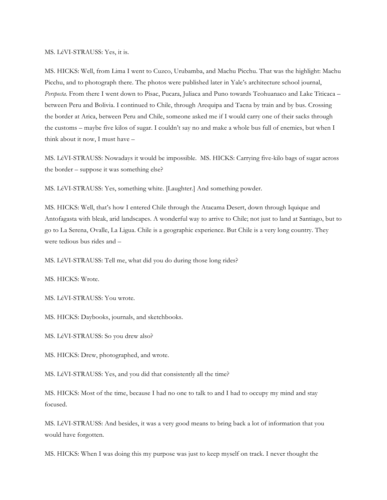#### MS. LéVI-STRAUSS: Yes, it is.

MS. HICKS: Well, from Lima I went to Cuzco, Urubamba, and Machu Picchu. That was the highlight: Machu Picchu, and to photograph there. The photos were published later in Yale's architecture school journal, *Perspecta*. From there I went down to Pisac, Pucara, Juliaca and Puno towards Teohuanaco and Lake Titicaca – between Peru and Bolivia. I continued to Chile, through Arequipa and Tacna by train and by bus. Crossing the border at Arica, between Peru and Chile, someone asked me if I would carry one of their sacks through the customs – maybe five kilos of sugar. I couldn't say no and make a whole bus full of enemies, but when I think about it now, I must have –

MS. LéVI-STRAUSS: Nowadays it would be impossible. MS. HICKS: Carrying five-kilo bags of sugar across the border – suppose it was something else?

MS. LéVI-STRAUSS: Yes, something white. [Laughter.] And something powder.

MS. HICKS: Well, that's how I entered Chile through the Atacama Desert, down through Iquique and Antofagasta with bleak, arid landscapes. A wonderful way to arrive to Chile; not just to land at Santiago, but to go to La Serena, Ovalle, La Ligua. Chile is a geographic experience. But Chile is a very long country. They were tedious bus rides and –

MS. LéVI-STRAUSS: Tell me, what did you do during those long rides?

MS. HICKS: Wrote.

MS. LéVI-STRAUSS: You wrote.

MS. HICKS: Daybooks, journals, and sketchbooks.

MS. LéVI-STRAUSS: So you drew also?

MS. HICKS: Drew, photographed, and wrote.

MS. LéVI-STRAUSS: Yes, and you did that consistently all the time?

MS. HICKS: Most of the time, because I had no one to talk to and I had to occupy my mind and stay focused.

MS. LéVI-STRAUSS: And besides, it was a very good means to bring back a lot of information that you would have forgotten.

MS. HICKS: When I was doing this my purpose was just to keep myself on track. I never thought the